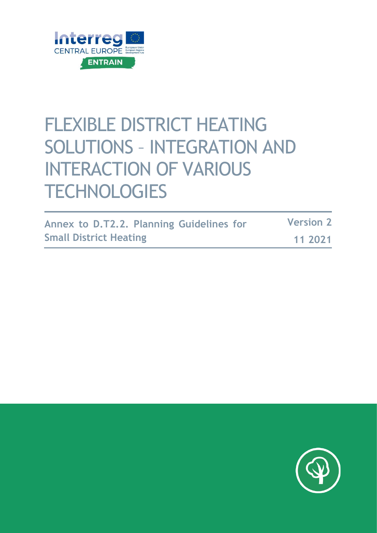

# FLEXIBLE DISTRICT HEATING SOLUTIONS – INTEGRATION AND INTERACTION OF VARIOUS **TECHNOLOGIES**

|                               | Annex to D.T2.2. Planning Guidelines for | <b>Version 2</b> |
|-------------------------------|------------------------------------------|------------------|
| <b>Small District Heating</b> |                                          | 11 2021          |

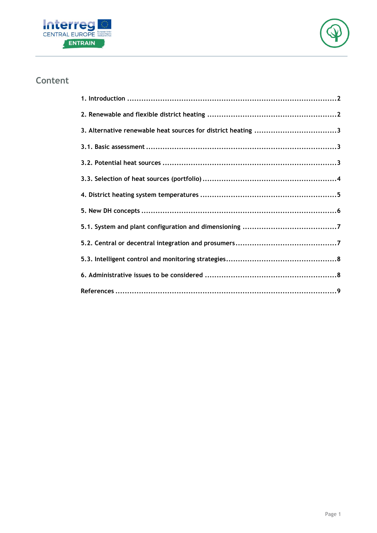



### **Content**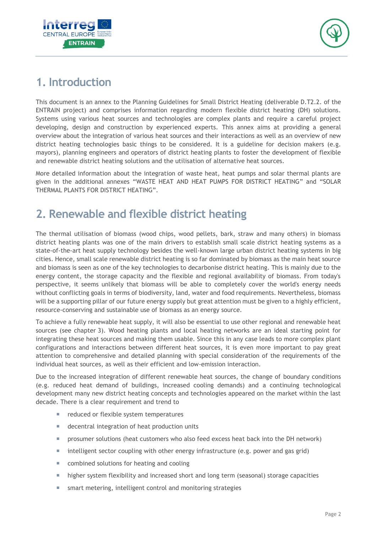



## <span id="page-2-0"></span>**1. Introduction**

This document is an annex to the Planning Guidelines for Small District Heating (deliverable D.T2.2. of the ENTRAIN project) and comprises information regarding modern flexible district heating (DH) solutions. Systems using various heat sources and technologies are complex plants and require a careful project developing, design and construction by experienced experts. This annex aims at providing a general overview about the integration of various heat sources and their interactions as well as an overview of new district heating technologies basic things to be considered. It is a guideline for decision makers (e.g. mayors), planning engineers and operators of district heating plants to foster the development of flexible and renewable district heating solutions and the utilisation of alternative heat sources.

More detailed information about the integration of waste heat, heat pumps and solar thermal plants are given in the additional annexes "WASTE HEAT AND HEAT PUMPS FOR DISTRICT HEATING" and "SOLAR THERMAL PLANTS FOR DISTRICT HEATING".

## <span id="page-2-1"></span>**2. Renewable and flexible district heating**

The thermal utilisation of biomass (wood chips, wood pellets, bark, straw and many others) in biomass district heating plants was one of the main drivers to establish small scale district heating systems as a state-of-the-art heat supply technology besides the well-known large urban district heating systems in big cities. Hence, small scale renewable district heating is so far dominated by biomass as the main heat source and biomass is seen as one of the key technologies to decarbonise district heating. This is mainly due to the energy content, the storage capacity and the flexible and regional availability of biomass. From today's perspective, it seems unlikely that biomass will be able to completely cover the world's energy needs without conflicting goals in terms of biodiversity, land, water and food requirements. Nevertheless, biomass will be a supporting pillar of our future energy supply but great attention must be given to a highly efficient, resource-conserving and sustainable use of biomass as an energy source.

To achieve a fully renewable heat supply, it will also be essential to use other regional and renewable heat sources (see chapter [3\)](#page-3-0). Wood heating plants and local heating networks are an ideal starting point for integrating these heat sources and making them usable. Since this in any case leads to more complex plant configurations and interactions between different heat sources, it is even more important to pay great attention to comprehensive and detailed planning with special consideration of the requirements of the individual heat sources, as well as their efficient and low-emission interaction.

Due to the increased integration of different renewable heat sources, the change of boundary conditions (e.g. reduced heat demand of buildings, increased cooling demands) and a continuing technological development many new district heating concepts and technologies appeared on the market within the last decade. There is a clear requirement and trend to

- e reduced or flexible system temperatures
- decentral integration of heat production units
- **P** prosumer solutions (heat customers who also feed excess heat back into the DH network)
- $\blacksquare$  intelligent sector coupling with other energy infrastructure (e.g. power and gas grid)
- combined solutions for heating and cooling
- **higher system flexibility and increased short and long term (seasonal) storage capacities**
- smart metering, intelligent control and monitoring strategies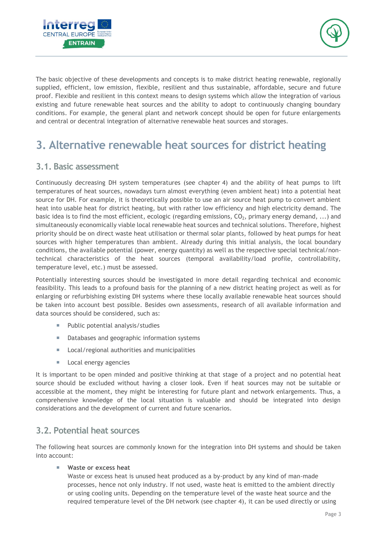



The basic objective of these developments and concepts is to make district heating renewable, regionally supplied, efficient, low emission, flexible, resilient and thus sustainable, affordable, secure and future proof. Flexible and resilient in this context means to design systems which allow the integration of various existing and future renewable heat sources and the ability to adopt to continuously changing boundary conditions. For example, the general plant and network concept should be open for future enlargements and central or decentral integration of alternative renewable heat sources and storages.

## <span id="page-3-0"></span>**3. Alternative renewable heat sources for district heating**

#### <span id="page-3-1"></span>**3.1. Basic assessment**

Continuously decreasing DH system temperatures (see chapter [4\)](#page-5-0) and the ability of heat pumps to lift temperatures of heat sources, nowadays turn almost everything (even ambient heat) into a potential heat source for DH. For example, it is theoretically possible to use an air source heat pump to convert ambient heat into usable heat for district heating, but with rather low efficiency and high electricity demand. The basic idea is to find the most efficient, ecologic (regarding emissions,  $CO_2$ , primary energy demand, ...) and simultaneously economically viable local renewable heat sources and technical solutions. Therefore, highest priority should be on direct waste heat utilisation or thermal solar plants, followed by heat pumps for heat sources with higher temperatures than ambient. Already during this initial analysis, the local boundary conditions, the available potential (power, energy quantity) as well as the respective special technical/nontechnical characteristics of the heat sources (temporal availability/load profile, controllability, temperature level, etc.) must be assessed.

Potentially interesting sources should be investigated in more detail regarding technical and economic feasibility. This leads to a profound basis for the planning of a new district heating project as well as for enlarging or refurbishing existing DH systems where these locally available renewable heat sources should be taken into account best possible. Besides own assessments, research of all available information and data sources should be considered, such as:

- **Public potential analysis/studies**
- Databases and geographic information systems
- **Local/regional authorities and municipalities**
- **Local energy agencies**

It is important to be open minded and positive thinking at that stage of a project and no potential heat source should be excluded without having a closer look. Even if heat sources may not be suitable or accessible at the moment, they might be interesting for future plant and network enlargements. Thus, a comprehensive knowledge of the local situation is valuable and should be integrated into design considerations and the development of current and future scenarios.

#### <span id="page-3-2"></span>**3.2. Potential heat sources**

The following heat sources are commonly known for the integration into DH systems and should be taken into account:

**Waste or excess heat**

Waste or excess heat is unused heat produced as a by-product by any kind of man-made processes, hence not only industry. If not used, waste heat is emitted to the ambient directly or using cooling units. Depending on the temperature level of the waste heat source and the required temperature level of the DH network (see chapter [4\)](#page-5-0), it can be used directly or using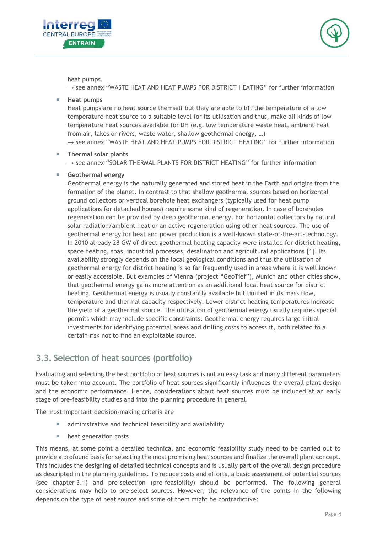



heat pumps.

 $\rightarrow$  see annex "WASTE HEAT AND HEAT PUMPS FOR DISTRICT HEATING" for further information

**Heat pumps**

Heat pumps are no heat source themself but they are able to lift the temperature of a low temperature heat source to a suitable level for its utilisation and thus, make all kinds of low temperature heat sources available for DH (e.g. low temperature waste heat, ambient heat from air, lakes or rivers, waste water, shallow geothermal energy, …)

 $\rightarrow$  see annex "WASTE HEAT AND HEAT PUMPS FOR DISTRICT HEATING" for further information

#### **Thermal solar plants**

 $\rightarrow$  see annex "SOLAR THERMAL PLANTS FOR DISTRICT HEATING" for further information

**Geothermal energy**

Geothermal energy is the naturally generated and stored heat in the Earth and origins from the formation of the planet. In contrast to that shallow geothermal sources based on horizontal ground collectors or vertical borehole heat exchangers (typically used for heat pump applications for detached houses) require some kind of regeneration. In case of boreholes regeneration can be provided by deep geothermal energy. For horizontal collectors by natural solar radiation/ambient heat or an active regeneration using other heat sources. The use of geothermal energy for heat and power production is a well-known state-of-the-art-technology. In 2010 already 28 GW of direct geothermal heating capacity were installed for district heating, space heating, spas, industrial processes, desalination and agricultural applications [1]. Its availability strongly depends on the local geological conditions and thus the utilisation of geothermal energy for district heating is so far frequently used in areas where it is well known or easily accessible. But examples of Vienna (project "GeoTief"), Munich and other cities show, that geothermal energy gains more attention as an additional local heat source for district heating. Geothermal energy is usually constantly available but limited in its mass flow, temperature and thermal capacity respectively. Lower district heating temperatures increase the yield of a geothermal source. The utilisation of geothermal energy usually requires special permits which may include specific constraints. Geothermal energy requires large initial investments for identifying potential areas and drilling costs to access it, both related to a certain risk not to find an exploitable source.

#### <span id="page-4-0"></span>**3.3. Selection of heat sources (portfolio)**

Evaluating and selecting the best portfolio of heat sources is not an easy task and many different parameters must be taken into account. The portfolio of heat sources significantly influences the overall plant design and the economic performance. Hence, considerations about heat sources must be included at an early stage of pre-feasibility studies and into the planning procedure in general.

The most important decision-making criteria are

- **a** administrative and technical feasibility and availability
- heat generation costs

This means, at some point a detailed technical and economic feasibility study need to be carried out to provide a profound basis for selecting the most promising heat sources and finalize the overall plant concept. This includes the designing of detailed technical concepts and is usually part of the overall design procedure as descripted in the planning guidelines. To reduce costs and efforts, a basic assessment of potential sources (see chapter [3.1\)](#page-3-1) and pre-selection (pre-feasibility) should be performed. The following general considerations may help to pre-select sources. However, the relevance of the points in the following depends on the type of heat source and some of them might be contradictive: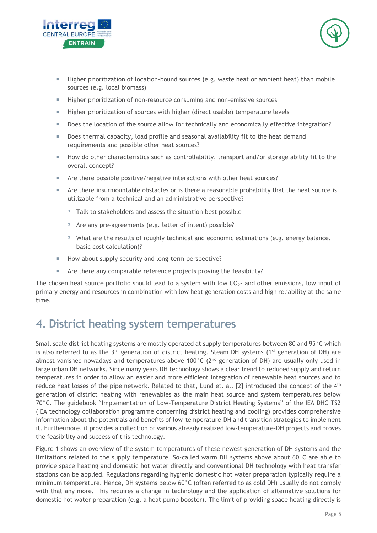



- Higher prioritization of location-bound sources (e.g. waste heat or ambient heat) than mobile sources (e.g. local biomass)
- Higher prioritization of non-resource consuming and non-emissive sources
- **Higher prioritization of sources with higher (direct usable) temperature levels**
- Does the location of the source allow for technically and economically effective integration?
- Does thermal capacity, load profile and seasonal availability fit to the heat demand requirements and possible other heat sources?
- How do other characteristics such as controllability, transport and/or storage ability fit to the overall concept?
- Are there possible positive/negative interactions with other heat sources?
- **Are there insurmountable obstacles or is there a reasonable probability that the heat source is** utilizable from a technical and an administrative perspective?
	- $\Box$  Talk to stakeholders and assess the situation best possible
	- $\Box$  Are any pre-agreements (e.g. letter of intent) possible?
	- $\Box$  What are the results of roughly technical and economic estimations (e.g. energy balance, basic cost calculation)?
- How about supply security and long-term perspective?
- Are there any comparable reference projects proving the feasibility?

The chosen heat source portfolio should lead to a system with low  $CO<sub>2</sub>$  and other emissions, low input of primary energy and resources in combination with low heat generation costs and high reliability at the same time.

## <span id="page-5-0"></span>**4. District heating system temperatures**

Small scale district heating systems are mostly operated at supply temperatures between 80 and 95°C which is also referred to as the  $3^{rd}$  generation of district heating. Steam DH systems (1<sup>st</sup> generation of DH) are almost vanished nowadays and temperatures above 100°C (2<sup>nd</sup> generation of DH) are usually only used in large urban DH networks. Since many years DH technology shows a clear trend to reduced supply and return temperatures in order to allow an easier and more efficient integration of renewable heat sources and to reduce heat losses of the pipe network. Related to that, Lund et. al. [2] introduced the concept of the 4<sup>th</sup> generation of district heating with renewables as the main heat source and system temperatures below 70°C. The guidebook "Implementation of Low-Temperature District Heating Systems" of the IEA DHC TS2 (IEA technology collaboration programme concerning district heating and cooling) provides comprehensive information about the potentials and benefits of low-temperature-DH and transition strategies to implement it. Furthermore, it provides a collection of various already realized low-temperature-DH projects and proves the feasibility and success of this technology.

[Figure 1](#page-6-1) shows an overview of the system temperatures of these newest generation of DH systems and the limitations related to the supply temperature. So-called warm DH systems above about 60°C are able to provide space heating and domestic hot water directly and conventional DH technology with heat transfer stations can be applied. Regulations regarding hygienic domestic hot water preparation typically require a minimum temperature. Hence, DH systems below 60°C (often referred to as cold DH) usually do not comply with that any more. This requires a change in technology and the application of alternative solutions for domestic hot water preparation (e.g. a heat pump booster). The limit of providing space heating directly is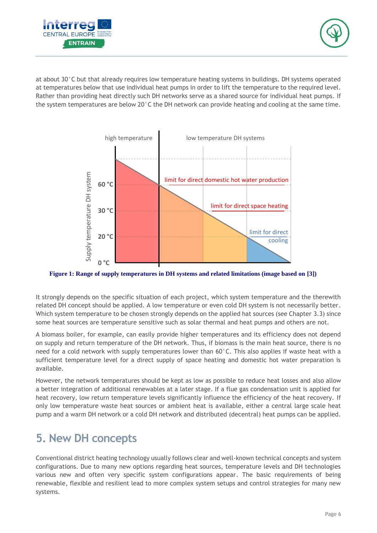



at about 30°C but that already requires low temperature heating systems in buildings. DH systems operated at temperatures below that use individual heat pumps in order to lift the temperature to the required level. Rather than providing heat directly such DH networks serve as a shared source for individual heat pumps. If the system temperatures are below 20°C the DH network can provide heating and cooling at the same time.



<span id="page-6-1"></span>**Figure 1: Range of supply temperatures in DH systems and related limitations (image based on [3])**

It strongly depends on the specific situation of each project, which system temperature and the therewith related DH concept should be applied. A low temperature or even cold DH system is not necessarily better. Which system temperature to be chosen strongly depends on the applied hat sources (see Chapter [3.3\)](#page-4-0) since some heat sources are temperature sensitive such as solar thermal and heat pumps and others are not.

A biomass boiler, for example, can easily provide higher temperatures and its efficiency does not depend on supply and return temperature of the DH network. Thus, if biomass is the main heat source, there is no need for a cold network with supply temperatures lower than  $60^{\circ}$ C. This also applies if waste heat with a sufficient temperature level for a direct supply of space heating and domestic hot water preparation is available.

However, the network temperatures should be kept as low as possible to reduce heat losses and also allow a better integration of additional renewables at a later stage. If a flue gas condensation unit is applied for heat recovery, low return temperature levels significantly influence the efficiency of the heat recovery. If only low temperature waste heat sources or ambient heat is available, either a central large scale heat pump and a warm DH network or a cold DH network and distributed (decentral) heat pumps can be applied.

## <span id="page-6-0"></span>**5. New DH concepts**

Conventional district heating technology usually follows clear and well-known technical concepts and system configurations. Due to many new options regarding heat sources, temperature levels and DH technologies various new and often very specific system configurations appear. The basic requirements of being renewable, flexible and resilient lead to more complex system setups and control strategies for many new systems.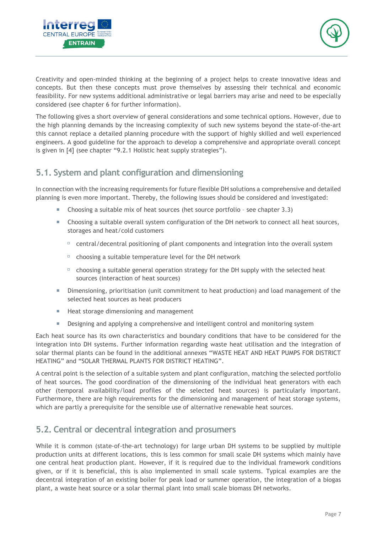



Creativity and open-minded thinking at the beginning of a project helps to create innovative ideas and concepts. But then these concepts must prove themselves by assessing their technical and economic feasibility. For new systems additional administrative or legal barriers may arise and need to be especially considered (see chapter [6](#page-8-1) for further information).

The following gives a short overview of general considerations and some technical options. However, due to the high planning demands by the increasing complexity of such new systems beyond the state-of-the-art this cannot replace a detailed planning procedure with the support of highly skilled and well experienced engineers. A good guideline for the approach to develop a comprehensive and appropriate overall concept is given in [4] (see chapter "9.2.1 Holistic heat supply strategies").

#### <span id="page-7-0"></span>**5.1. System and plant configuration and dimensioning**

In connection with the increasing requirements for future flexible DH solutions a comprehensive and detailed planning is even more important. Thereby, the following issues should be considered and investigated:

- Choosing a suitable mix of heat sources (het source portfolio see chapter [3.3\)](#page-4-0)
- Choosing a suitable overall system configuration of the DH network to connect all heat sources, storages and heat/cold customers
	- $\Box$  central/decentral positioning of plant components and integration into the overall system
	- $\Box$  choosing a suitable temperature level for the DH network
	- $\Box$  choosing a suitable general operation strategy for the DH supply with the selected heat sources (interaction of heat sources)
- Dimensioning, prioritisation (unit commitment to heat production) and load management of the selected heat sources as heat producers
- Heat storage dimensioning and management
- **B** Designing and applying a comprehensive and intelligent control and monitoring system

Each heat source has its own characteristics and boundary conditions that have to be considered for the integration into DH systems. Further information regarding waste heat utilisation and the integration of solar thermal plants can be found in the additional annexes "WASTE HEAT AND HEAT PUMPS FOR DISTRICT HEATING" and "SOLAR THERMAL PLANTS FOR DISTRICT HEATING".

A central point is the selection of a suitable system and plant configuration, matching the selected portfolio of heat sources. The good coordination of the dimensioning of the individual heat generators with each other (temporal availability/load profiles of the selected heat sources) is particularly important. Furthermore, there are high requirements for the dimensioning and management of heat storage systems, which are partly a prerequisite for the sensible use of alternative renewable heat sources.

#### <span id="page-7-1"></span>**5.2. Central or decentral integration and prosumers**

While it is common (state-of-the-art technology) for large urban DH systems to be supplied by multiple production units at different locations, this is less common for small scale DH systems which mainly have one central heat production plant. However, if it is required due to the individual framework conditions given, or if it is beneficial, this is also implemented in small scale systems. Typical examples are the decentral integration of an existing boiler for peak load or summer operation, the integration of a biogas plant, a waste heat source or a solar thermal plant into small scale biomass DH networks.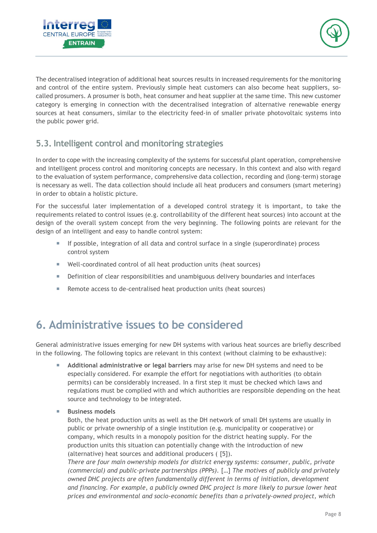



The decentralised integration of additional heat sources results in increased requirements for the monitoring and control of the entire system. Previously simple heat customers can also become heat suppliers, socalled prosumers. A prosumer is both, heat consumer and heat supplier at the same time. This new customer category is emerging in connection with the decentralised integration of alternative renewable energy sources at heat consumers, similar to the electricity feed-in of smaller private photovoltaic systems into the public power grid.

#### <span id="page-8-0"></span>**5.3. Intelligent control and monitoring strategies**

In order to cope with the increasing complexity of the systems for successful plant operation, comprehensive and intelligent process control and monitoring concepts are necessary. In this context and also with regard to the evaluation of system performance, comprehensive data collection, recording and (long-term) storage is necessary as well. The data collection should include all heat producers and consumers (smart metering) in order to obtain a holistic picture.

For the successful later implementation of a developed control strategy it is important, to take the requirements related to control issues (e.g. controllability of the different heat sources) into account at the design of the overall system concept from the very beginning. The following points are relevant for the design of an intelligent and easy to handle control system:

- If possible, integration of all data and control surface in a single (superordinate) process control system
- Well-coordinated control of all heat production units (heat sources)
- **Definition of clear responsibilities and unambiguous delivery boundaries and interfaces**
- Remote access to de-centralised heat production units (heat sources)

## <span id="page-8-1"></span>**6. Administrative issues to be considered**

General administrative issues emerging for new DH systems with various heat sources are briefly described in the following. The following topics are relevant in this context (without claiming to be exhaustive):

- **Additional administrative or legal barriers** may arise for new DH systems and need to be especially considered. For example the effort for negotiations with authorities (to obtain permits) can be considerably increased. In a first step it must be checked which laws and regulations must be complied with and which authorities are responsible depending on the heat source and technology to be integrated.
- **Business models**

Both, the heat production units as well as the DH network of small DH systems are usually in public or private ownership of a single institution (e.g. municipality or cooperative) or company, which results in a monopoly position for the district heating supply. For the production units this situation can potentially change with the introduction of new (alternative) heat sources and additional producers ( [5]).

*There are four main ownership models for district energy systems: consumer, public, private (commercial) and public-private partnerships (PPPs).* […] *The motives of publicly and privately owned DHC projects are often fundamentally different in terms of initiation, development and financing. For example, a publicly owned DHC project is more likely to pursue lower heat prices and environmental and socio-economic benefits than a privately-owned project, which*